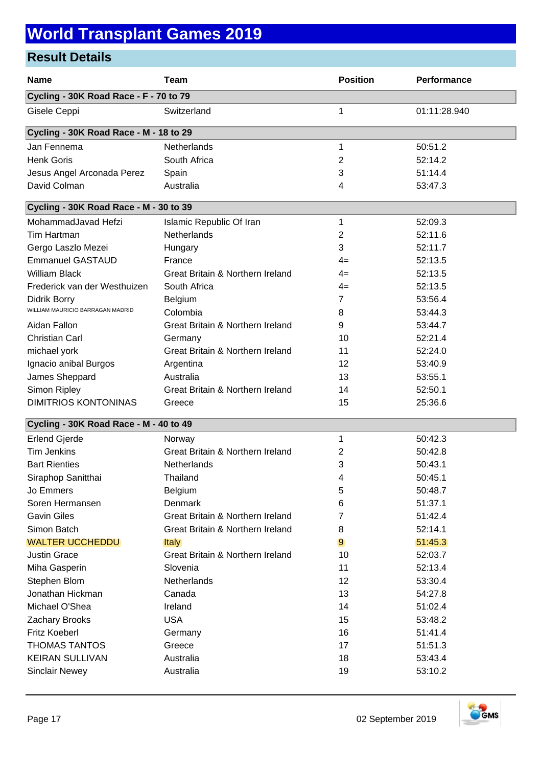## **World Transplant Games 2019**

### **Result Details**

| <b>Name</b>                            | <b>Team</b>                                 | <b>Position</b> | Performance  |  |  |
|----------------------------------------|---------------------------------------------|-----------------|--------------|--|--|
| Cycling - 30K Road Race - F - 70 to 79 |                                             |                 |              |  |  |
| Gisele Ceppi                           | Switzerland                                 | 1               | 01:11:28.940 |  |  |
| Cycling - 30K Road Race - M - 18 to 29 |                                             |                 |              |  |  |
| Jan Fennema                            | Netherlands                                 | 1               | 50:51.2      |  |  |
| <b>Henk Goris</b>                      | South Africa                                | 2               | 52:14.2      |  |  |
| Jesus Angel Arconada Perez             | Spain                                       | 3               | 51:14.4      |  |  |
| David Colman                           | Australia                                   | 4               | 53:47.3      |  |  |
| Cycling - 30K Road Race - M - 30 to 39 |                                             |                 |              |  |  |
| MohammadJavad Hefzi                    | Islamic Republic Of Iran                    | 1               | 52:09.3      |  |  |
| Tim Hartman                            | Netherlands                                 | 2               | 52:11.6      |  |  |
| Gergo Laszlo Mezei                     | Hungary                                     | 3               | 52:11.7      |  |  |
| <b>Emmanuel GASTAUD</b>                | France                                      | 4=              | 52:13.5      |  |  |
| <b>William Black</b>                   | Great Britain & Northern Ireland            | 4=              | 52:13.5      |  |  |
| Frederick van der Westhuizen           | South Africa                                | 4=              | 52:13.5      |  |  |
| Didrik Borry                           | Belgium                                     | 7               | 53:56.4      |  |  |
| WILLIAM MAURICIO BARRAGAN MADRID       | Colombia                                    | 8               | 53:44.3      |  |  |
| Aidan Fallon                           | <b>Great Britain &amp; Northern Ireland</b> | 9               | 53:44.7      |  |  |
| <b>Christian Carl</b>                  | Germany                                     | 10              | 52:21.4      |  |  |
| michael york                           | Great Britain & Northern Ireland            | 11              | 52:24.0      |  |  |
| Ignacio anibal Burgos                  | Argentina                                   | 12              | 53:40.9      |  |  |
| James Sheppard                         | Australia                                   | 13              | 53:55.1      |  |  |
| Simon Ripley                           | Great Britain & Northern Ireland            | 14              | 52:50.1      |  |  |
| <b>DIMITRIOS KONTONINAS</b>            | Greece                                      | 15              | 25:36.6      |  |  |
| Cycling - 30K Road Race - M - 40 to 49 |                                             |                 |              |  |  |
| <b>Erlend Gjerde</b>                   | Norway                                      | 1               | 50:42.3      |  |  |
| <b>Tim Jenkins</b>                     | Great Britain & Northern Ireland            | 2               | 50:42.8      |  |  |
| <b>Bart Rienties</b>                   | Netherlands                                 | 3               | 50:43.1      |  |  |
| Siraphop Sanitthai                     | Thailand                                    | 4               | 50:45.1      |  |  |
| Jo Emmers                              | Belgium                                     | 5               | 50:48.7      |  |  |
| Soren Hermansen                        | Denmark                                     | 6               | 51:37.1      |  |  |
| <b>Gavin Giles</b>                     | Great Britain & Northern Ireland            | 7               | 51:42.4      |  |  |
| Simon Batch                            | Great Britain & Northern Ireland            | 8               | 52:14.1      |  |  |
| <b>WALTER UCCHEDDU</b>                 | <b>Italy</b>                                | 9               | 51:45.3      |  |  |
| <b>Justin Grace</b>                    | Great Britain & Northern Ireland            | 10              | 52:03.7      |  |  |
| Miha Gasperin                          | Slovenia                                    | 11              | 52:13.4      |  |  |
| Stephen Blom                           | Netherlands                                 | 12              | 53:30.4      |  |  |
| Jonathan Hickman                       | Canada                                      | 13              | 54:27.8      |  |  |
| Michael O'Shea                         | Ireland                                     | 14              | 51:02.4      |  |  |
| Zachary Brooks                         | <b>USA</b>                                  | 15              | 53:48.2      |  |  |
| Fritz Koeberl                          | Germany                                     | 16              | 51:41.4      |  |  |
| <b>THOMAS TANTOS</b>                   | Greece                                      | 17              | 51:51.3      |  |  |
| <b>KEIRAN SULLIVAN</b>                 | Australia                                   | 18              | 53:43.4      |  |  |
| <b>Sinclair Newey</b>                  | Australia                                   | 19              | 53:10.2      |  |  |

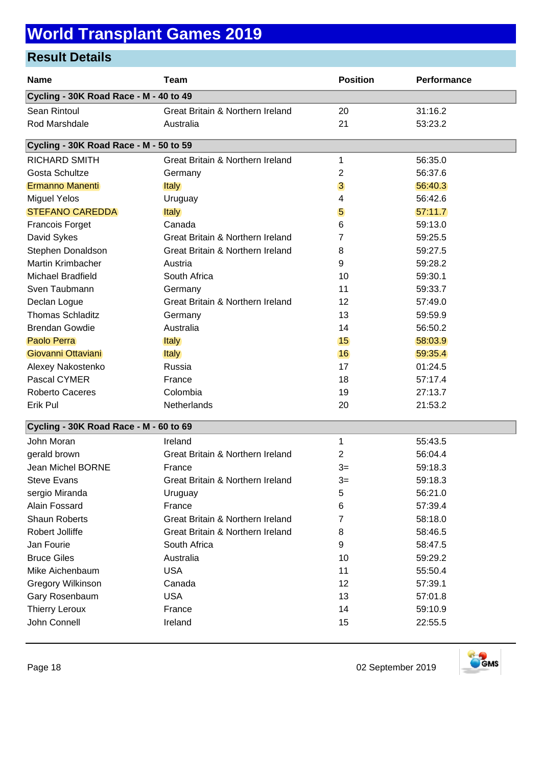## **World Transplant Games 2019**

### **Result Details**

| <b>Name</b>                            | <b>Team</b>                      | <b>Position</b> | Performance |  |  |
|----------------------------------------|----------------------------------|-----------------|-------------|--|--|
| Cycling - 30K Road Race - M - 40 to 49 |                                  |                 |             |  |  |
| Sean Rintoul                           | Great Britain & Northern Ireland | 20              | 31:16.2     |  |  |
| Rod Marshdale                          | Australia                        | 21              | 53:23.2     |  |  |
| Cycling - 30K Road Race - M - 50 to 59 |                                  |                 |             |  |  |
| <b>RICHARD SMITH</b>                   | Great Britain & Northern Ireland | 1               | 56:35.0     |  |  |
| Gosta Schultze                         | Germany                          | 2               | 56:37.6     |  |  |
| Ermanno Manenti                        | <b>Italy</b>                     | 3               | 56:40.3     |  |  |
| <b>Miguel Yelos</b>                    | Uruguay                          | 4               | 56:42.6     |  |  |
| <b>STEFANO CAREDDA</b>                 | Italy                            | 5               | 57:11.7     |  |  |
| <b>Francois Forget</b>                 | Canada                           | 6               | 59:13.0     |  |  |
| David Sykes                            | Great Britain & Northern Ireland | 7               | 59:25.5     |  |  |
| Stephen Donaldson                      | Great Britain & Northern Ireland | 8               | 59:27.5     |  |  |
| Martin Krimbacher                      | Austria                          | 9               | 59:28.2     |  |  |
| Michael Bradfield                      | South Africa                     | 10              | 59:30.1     |  |  |
| Sven Taubmann                          | Germany                          | 11              | 59:33.7     |  |  |
| Declan Logue                           | Great Britain & Northern Ireland | 12              | 57:49.0     |  |  |
| <b>Thomas Schladitz</b>                | Germany                          | 13              | 59:59.9     |  |  |
| <b>Brendan Gowdie</b>                  | Australia                        | 14              | 56:50.2     |  |  |
| Paolo Perra                            | <b>Italy</b>                     | 15              | 58:03.9     |  |  |
| Giovanni Ottaviani                     | <b>Italy</b>                     | 16              | 59:35.4     |  |  |
| Alexey Nakostenko                      | Russia                           | 17              | 01:24.5     |  |  |
| Pascal CYMER                           | France                           | 18              | 57:17.4     |  |  |
| Roberto Caceres                        | Colombia                         | 19              | 27:13.7     |  |  |
| Erik Pul                               | Netherlands                      | 20              | 21:53.2     |  |  |
| Cycling - 30K Road Race - M - 60 to 69 |                                  |                 |             |  |  |
| John Moran                             | Ireland                          | 1               | 55:43.5     |  |  |
| gerald brown                           | Great Britain & Northern Ireland | 2               | 56:04.4     |  |  |
| Jean Michel BORNE                      | France                           | $3=$            | 59:18.3     |  |  |
| <b>Steve Evans</b>                     | Great Britain & Northern Ireland | $3=$            | 59:18.3     |  |  |
| sergio Miranda                         | Uruguay                          | 5               | 56:21.0     |  |  |
| Alain Fossard                          | France                           | 6               | 57:39.4     |  |  |
| <b>Shaun Roberts</b>                   | Great Britain & Northern Ireland | 7               | 58:18.0     |  |  |
| Robert Jolliffe                        | Great Britain & Northern Ireland | 8               | 58:46.5     |  |  |
| Jan Fourie                             | South Africa                     | 9               | 58:47.5     |  |  |
| <b>Bruce Giles</b>                     | Australia                        | 10              | 59:29.2     |  |  |
| Mike Aichenbaum                        | <b>USA</b>                       | 11              | 55:50.4     |  |  |
| <b>Gregory Wilkinson</b>               | Canada                           | 12              | 57:39.1     |  |  |
| Gary Rosenbaum                         | <b>USA</b>                       | 13              | 57:01.8     |  |  |
| <b>Thierry Leroux</b>                  | France                           | 14              | 59:10.9     |  |  |
| John Connell                           | Ireland                          | 15              | 22:55.5     |  |  |